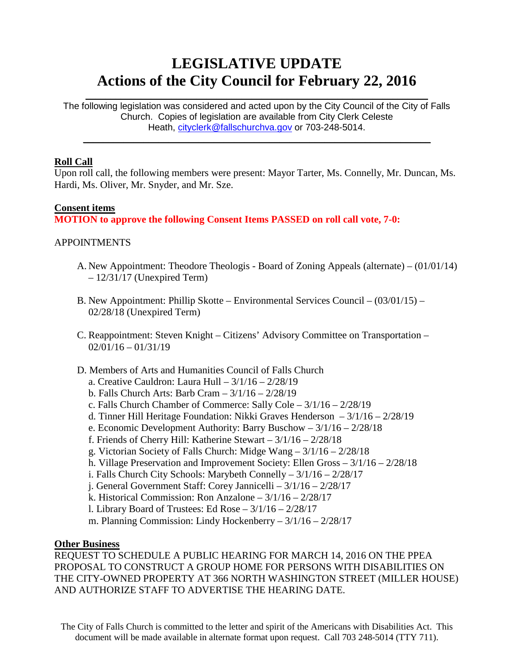# **LEGISLATIVE UPDATE Actions of the City Council for February 22, 2016**

The following legislation was considered and acted upon by the City Council of the City of Falls Church. Copies of legislation are available from City Clerk Celeste Heath, [cityclerk@fallschurchva.gov](mailto:cityclerk@fallschurchva.gov) or 703-248-5014.

 $\mathcal{L}_\text{max}$  and  $\mathcal{L}_\text{max}$  and  $\mathcal{L}_\text{max}$  and  $\mathcal{L}_\text{max}$  and  $\mathcal{L}_\text{max}$  and  $\mathcal{L}_\text{max}$ 

 $\mathcal{L}_\text{max}$  and  $\mathcal{L}_\text{max}$  and  $\mathcal{L}_\text{max}$  and  $\mathcal{L}_\text{max}$  and  $\mathcal{L}_\text{max}$  and  $\mathcal{L}_\text{max}$ 

#### **Roll Call**

Upon roll call, the following members were present: Mayor Tarter, Ms. Connelly, Mr. Duncan, Ms. Hardi, Ms. Oliver, Mr. Snyder, and Mr. Sze.

#### **Consent items**

**MOTION to approve the following Consent Items PASSED on roll call vote, 7-0:**

## APPOINTMENTS

- A. New Appointment: Theodore Theologis Board of Zoning Appeals (alternate) (01/01/14)  $-12/31/17$  (Unexpired Term)
- B. New Appointment: Phillip Skotte Environmental Services Council (03/01/15) 02/28/18 (Unexpired Term)
- C. Reappointment: Steven Knight Citizens' Advisory Committee on Transportation  $02/01/16 - 01/31/19$
- D. Members of Arts and Humanities Council of Falls Church
	- a. Creative Cauldron: Laura Hull 3/1/16 2/28/19
	- b. Falls Church Arts: Barb Cram 3/1/16 2/28/19
	- c. Falls Church Chamber of Commerce: Sally Cole 3/1/16 2/28/19
	- d. Tinner Hill Heritage Foundation: Nikki Graves Henderson 3/1/16 2/28/19
	- e. Economic Development Authority: Barry Buschow 3/1/16 2/28/18
	- f. Friends of Cherry Hill: Katherine Stewart 3/1/16 2/28/18
	- g. Victorian Society of Falls Church: Midge Wang 3/1/16 2/28/18
	- h. Village Preservation and Improvement Society: Ellen Gross 3/1/16 2/28/18
	- i. Falls Church City Schools: Marybeth Connelly 3/1/16 2/28/17
	- j. General Government Staff: Corey Jannicelli 3/1/16 2/28/17
	- k. Historical Commission: Ron Anzalone 3/1/16 2/28/17
	- l. Library Board of Trustees: Ed Rose 3/1/16 2/28/17
	- m. Planning Commission: Lindy Hockenberry 3/1/16 2/28/17

#### **Other Business**

REQUEST TO SCHEDULE A PUBLIC HEARING FOR MARCH 14, 2016 ON THE PPEA PROPOSAL TO CONSTRUCT A GROUP HOME FOR PERSONS WITH DISABILITIES ON THE CITY-OWNED PROPERTY AT 366 NORTH WASHINGTON STREET (MILLER HOUSE) AND AUTHORIZE STAFF TO ADVERTISE THE HEARING DATE.